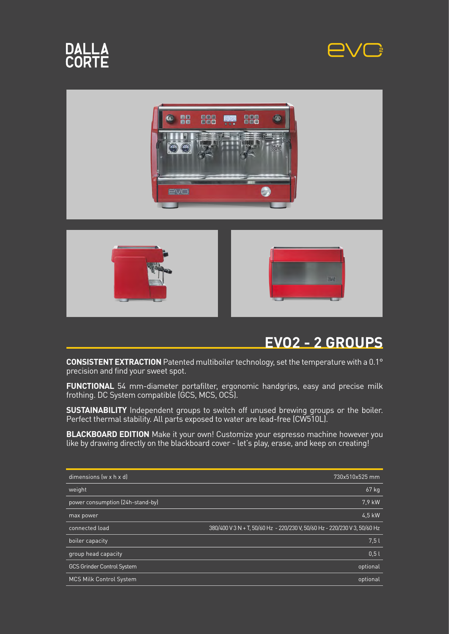

# **DALLA**<br>CORTE







#### **EVO2 - 2 GROUPS**

**CONSISTENT EXTRACTION** Patented multiboiler technology, set the temperature with a 0.1° precision and find your sweet spot.

**FUNCTIONAL** 54 mm-diameter portafilter, ergonomic handgrips, easy and precise milk frothing. DC System compatible (GCS, MCS, OCS).

**SUSTAINABILITY** Independent groups to switch off unused brewing groups or the boiler. Perfect thermal stability. All parts exposed to water are lead-free (CW510L).

**BLACKBOARD EDITION** Make it your own! Customize your espresso machine however you like by drawing directly on the blackboard cover - let's play, erase, and keep on creating!

| dimensions $(w \times h \times d)$ | 730x510x525 mm                                                            |
|------------------------------------|---------------------------------------------------------------------------|
| weight                             | 67 kg                                                                     |
| power consumption (24h-stand-by)   | 7.9 kW                                                                    |
| max power                          | 4.5 kW                                                                    |
| connected load                     | 380/400 V 3 N + T, 50/60 Hz - 220/230 V, 50/60 Hz - 220/230 V 3, 50/60 Hz |
| boiler capacity                    | 7.5l                                                                      |
| group head capacity                | 0.51                                                                      |
| <b>GCS Grinder Control System</b>  | optional                                                                  |
| <b>MCS Milk Control System</b>     | optional                                                                  |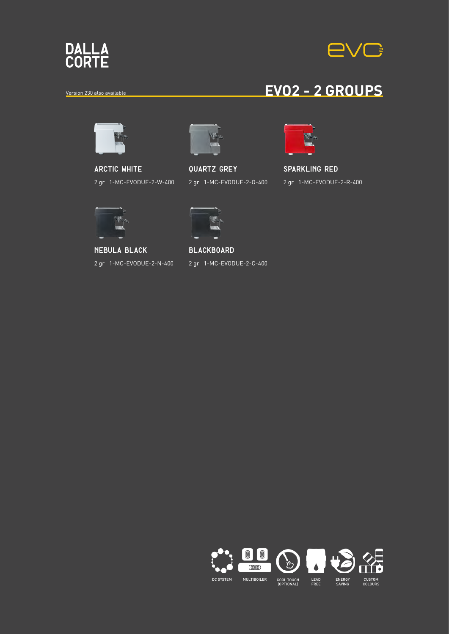

# **EVG**

#### **Yersion 230 also available EVO2 - 2 GROUPS**



**arctic white** 2 gr 1-MC-EVODUE-2-W-400



**quartz grey** 2 gr 1-MC-EVODUE-2-Q-400



#### **sparkling red** 2 gr 1-MC-EVODUE-2-R-400



**nebula black** 2 gr 1-MC-EVODUE-2-N-400



**blackboard** 2 gr 1-MC-EVODUE-2-C-400

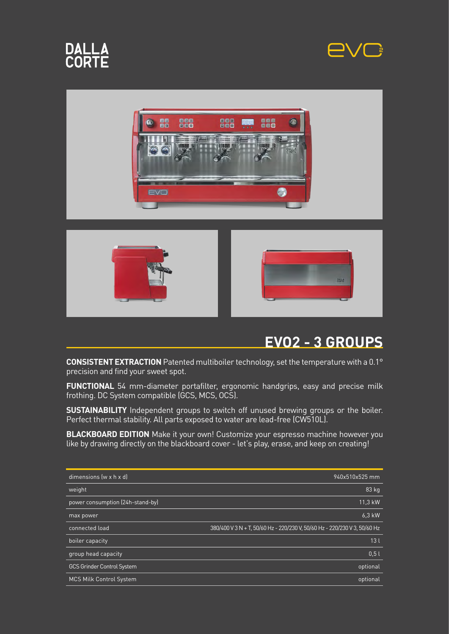

# **DALLA**<br>CORTE







#### **EVO2 - 3 GROUPS**

**CONSISTENT EXTRACTION** Patented multiboiler technology, set the temperature with a 0.1° precision and find your sweet spot.

**FUNCTIONAL** 54 mm-diameter portafilter, ergonomic handgrips, easy and precise milk frothing. DC System compatible (GCS, MCS, OCS).

**SUSTAINABILITY** Independent groups to switch off unused brewing groups or the boiler. Perfect thermal stability. All parts exposed to water are lead-free (CW510L).

**BLACKBOARD EDITION** Make it your own! Customize your espresso machine however you like by drawing directly on the blackboard cover - let's play, erase, and keep on creating!

| dimensions $(w \times h \times d)$ | 940x510x525 mm                                                            |
|------------------------------------|---------------------------------------------------------------------------|
| weight                             | 83 kg                                                                     |
| power consumption (24h-stand-by)   | 11,3 kW                                                                   |
| max power                          | 6.3 kW                                                                    |
| connected load                     | 380/400 V 3 N + T, 50/60 Hz - 220/230 V, 50/60 Hz - 220/230 V 3, 50/60 Hz |
| boiler capacity                    | 13 <sub>l</sub>                                                           |
| group head capacity                | 0.5l                                                                      |
| <b>GCS Grinder Control System</b>  | optional                                                                  |
| <b>MCS Milk Control System</b>     | optional                                                                  |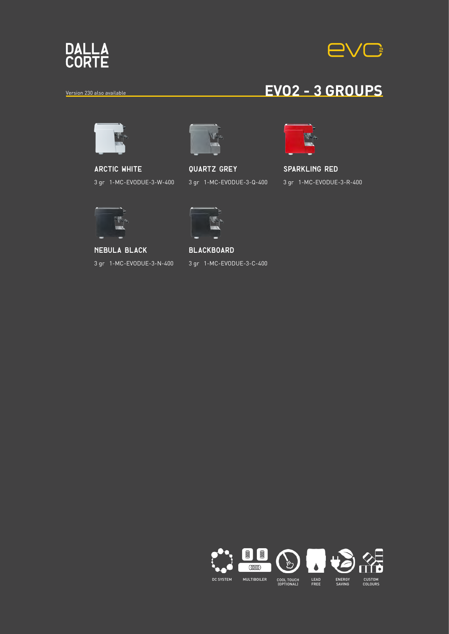

# **EVG**

### **Yersion 230 also available EVO2 - 3 GROUPS**



**arctic white** 3 gr 1-MC-EVODUE-3-W-400



**quartz grey** 3 gr 1-MC-EVODUE-3-Q-400



#### **sparkling red** 3 gr 1-MC-EVODUE-3-R-400



**nebula black** 3 gr 1-MC-EVODUE-3-N-400



**blackboard** 3 gr 1-MC-EVODUE-3-C-400

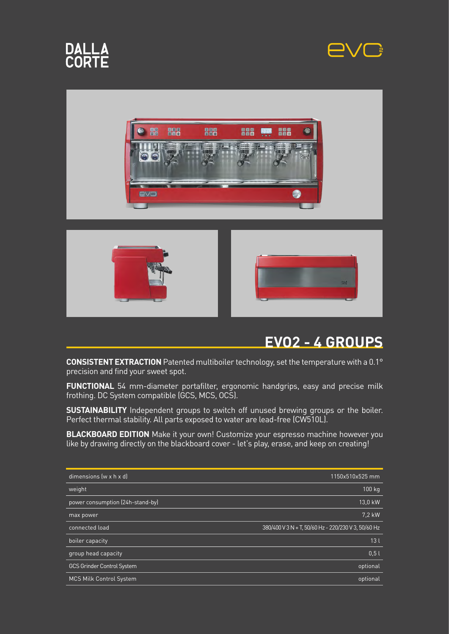









#### **EVO2 - 4 GROUPS**

**CONSISTENT EXTRACTION** Patented multiboiler technology, set the temperature with a 0.1° precision and find your sweet spot.

**FUNCTIONAL** 54 mm-diameter portafilter, ergonomic handgrips, easy and precise milk frothing. DC System compatible (GCS, MCS, OCS).

**SUSTAINABILITY** Independent groups to switch off unused brewing groups or the boiler. Perfect thermal stability. All parts exposed to water are lead-free (CW510L).

**BLACKBOARD EDITION** Make it your own! Customize your espresso machine however you like by drawing directly on the blackboard cover - let's play, erase, and keep on creating!

| dimensions $(w \times h \times d)$ | 1150x510x525 mm                                     |
|------------------------------------|-----------------------------------------------------|
| weight                             | 100 kg                                              |
| power consumption (24h-stand-by)   | 13,0 kW                                             |
| max power                          | 7.2 kW                                              |
| connected load                     | 380/400 V 3 N + T, 50/60 Hz - 220/230 V 3, 50/60 Hz |
| boiler capacity                    | 13 <sub>l</sub>                                     |
| group head capacity                | 0.51                                                |
| <b>GCS Grinder Control System</b>  | optional                                            |
| <b>MCS Milk Control System</b>     | optional                                            |